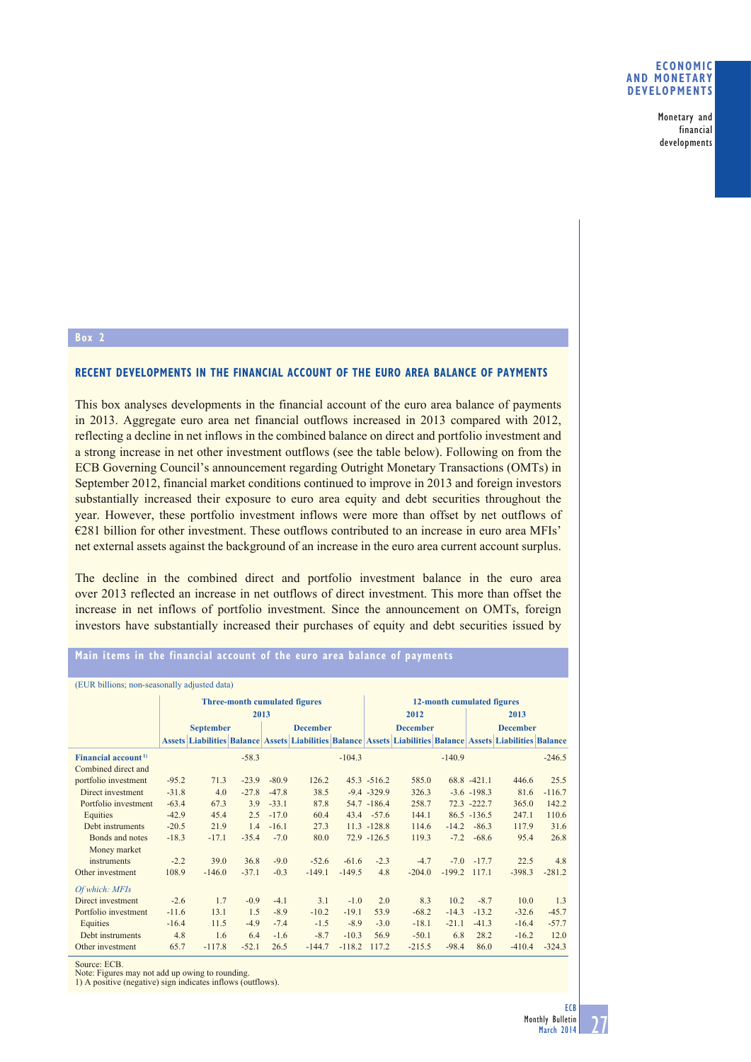Monetary and financial developments

## **Box 2**

## **RECENT DEVELOPMENTS IN THE FINANCIAL ACCOUNT OF THE EURO AREA BALANCE OF PAYMENTS**

This box analyses developments in the financial account of the euro area balance of payments in 2013. Aggregate euro area net financial outflows increased in 2013 compared with 2012, reflecting a decline in net inflows in the combined balance on direct and portfolio investment and a strong increase in net other investment outflows (see the table below). Following on from the ECB Governing Council's announcement regarding Outright Monetary Transactions (OMTs) in September 2012, financial market conditions continued to improve in 2013 and foreign investors substantially increased their exposure to euro area equity and debt securities throughout the year. However, these portfolio investment inflows were more than offset by net outflows of €281 billion for other investment. These outflows contributed to an increase in euro area MFIs' net external assets against the background of an increase in the euro area current account surplus.

The decline in the combined direct and portfolio investment balance in the euro area over 2013 reflected an increase in net outflows of direct investment. This more than offset the increase in net inflows of portfolio investment. Since the announcement on OMTs, foreign investors have substantially increased their purchases of equity and debt securities issued by

# **Main items in the financial account of the euro area balance of payments**

| (ELIR billions: non-seasonally adjusted data) |  |  |
|-----------------------------------------------|--|--|

| (EUR billions; non-seasonally adjusted data) |                                      |          |         |                 |                                                                                                             |                            |                |                 |          |                |          |          |  |
|----------------------------------------------|--------------------------------------|----------|---------|-----------------|-------------------------------------------------------------------------------------------------------------|----------------------------|----------------|-----------------|----------|----------------|----------|----------|--|
|                                              | <b>Three-month cumulated figures</b> |          |         |                 |                                                                                                             | 12-month cumulated figures |                |                 |          |                |          |          |  |
|                                              | 2013                                 |          |         |                 |                                                                                                             | 2012<br>2013               |                |                 |          |                |          |          |  |
|                                              | <b>September</b>                     |          |         | <b>December</b> |                                                                                                             | <b>December</b>            |                | <b>December</b> |          |                |          |          |  |
|                                              |                                      |          |         |                 | Assets Liabilities Balance Assets Liabilities Balance Assets Liabilities Balance Assets Liabilities Balance |                            |                |                 |          |                |          |          |  |
| Financial account <sup>1)</sup>              |                                      |          | $-58.3$ |                 |                                                                                                             | $-104.3$                   |                |                 | $-140.9$ |                |          | $-246.5$ |  |
| Combined direct and                          |                                      |          |         |                 |                                                                                                             |                            |                |                 |          |                |          |          |  |
| portfolio investment                         | $-95.2$                              | 71.3     | $-23.9$ | $-80.9$         | 126.2                                                                                                       |                            | $45.3 - 516.2$ | 585.0           |          | $68.8 - 421.1$ | 446.6    | 25.5     |  |
| Direct investment                            | $-31.8$                              | 4.0      | $-27.8$ | $-47.8$         | 38.5                                                                                                        |                            | $-9.4 - 329.9$ | 326.3           |          | $-3.6 - 198.3$ | 81.6     | $-116.7$ |  |
| Portfolio investment                         | $-63.4$                              | 67.3     | 3.9     | $-33.1$         | 87.8                                                                                                        |                            | 54.7 -186.4    | 258.7           |          | $72.3 -222.7$  | 365.0    | 142.2    |  |
| Equities                                     | $-42.9$                              | 45.4     | 2.5     | $-17.0$         | 60.4                                                                                                        |                            | 43.4 -57.6     | 144.1           |          | $86.5 - 136.5$ | 247.1    | 110.6    |  |
| Debt instruments                             | $-20.5$                              | 21.9     | 1.4     | $-16.1$         | 27.3                                                                                                        |                            | $11.3 - 128.8$ | 114.6           | $-14.2$  | $-86.3$        | 117.9    | 31.6     |  |
| Bonds and notes                              | $-18.3$                              | $-17.1$  | $-35.4$ | $-7.0$          | 80.0                                                                                                        |                            | $72.9 - 126.5$ | 119.3           | $-7.2$   | $-68.6$        | 95.4     | 26.8     |  |
| Money market                                 |                                      |          |         |                 |                                                                                                             |                            |                |                 |          |                |          |          |  |
| instruments                                  | $-2.2$                               | 39.0     | 36.8    | $-9.0$          | $-52.6$                                                                                                     | $-61.6$                    | $-2.3$         | $-4.7$          | $-7.0$   | $-17.7$        | 22.5     | 4.8      |  |
| Other investment                             | 108.9                                | $-146.0$ | $-37.1$ | $-0.3$          | $-149.1$                                                                                                    | $-149.5$                   | 4.8            | $-204.0$        | $-199.2$ | 117.1          | $-398.3$ | $-281.2$ |  |
| Of which: MFIs                               |                                      |          |         |                 |                                                                                                             |                            |                |                 |          |                |          |          |  |
| Direct investment                            | $-2.6$                               | 1.7      | $-0.9$  | $-4.1$          | 3.1                                                                                                         | $-1.0$                     | 2.0            | 8.3             | 10.2     | $-8.7$         | 10.0     | 1.3      |  |
| Portfolio investment                         | $-11.6$                              | 13.1     | 1.5     | $-8.9$          | $-10.2$                                                                                                     | $-19.1$                    | 53.9           | $-68.2$         | $-14.3$  | $-13.2$        | $-32.6$  | $-45.7$  |  |
| Equities                                     | $-16.4$                              | 11.5     | $-4.9$  | $-7.4$          | $-1.5$                                                                                                      | $-8.9$                     | $-3.0$         | $-18.1$         | $-21.1$  | $-41.3$        | $-16.4$  | $-57.7$  |  |
| Debt instruments                             | 4.8                                  | 1.6      | 6.4     | $-1.6$          | $-8.7$                                                                                                      | $-10.3$                    | 56.9           | $-50.1$         | 6.8      | 28.2           | $-16.2$  | 12.0     |  |
| Other investment                             | 65.7                                 | $-117.8$ | $-52.1$ | 26.5            | $-144.7$                                                                                                    | $-118.2$                   | 117.2          | $-215.5$        | $-98.4$  | 86.0           | $-410.4$ | $-324.3$ |  |

Source: ECB.

Note: Figures may not add up owing to rounding.

1) A positive (negative) sign indicates inflows (outflows).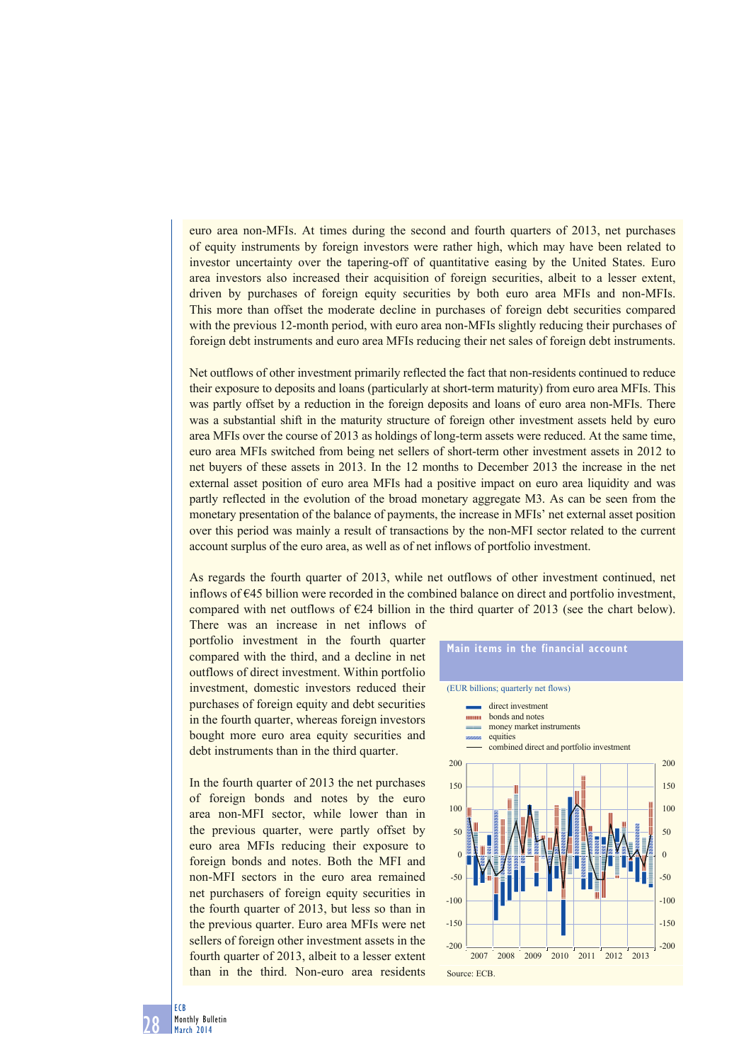euro area non-MFIs. At times during the second and fourth quarters of 2013, net purchases of equity instruments by foreign investors were rather high, which may have been related to investor uncertainty over the tapering-off of quantitative easing by the United States. Euro area investors also increased their acquisition of foreign securities, albeit to a lesser extent, driven by purchases of foreign equity securities by both euro area MFIs and non-MFIs. This more than offset the moderate decline in purchases of foreign debt securities compared with the previous 12-month period, with euro area non-MFIs slightly reducing their purchases of foreign debt instruments and euro area MFIs reducing their net sales of foreign debt instruments.

Net outflows of other investment primarily reflected the fact that non-residents continued to reduce their exposure to deposits and loans (particularly at short-term maturity) from euro area MFIs. This was partly offset by a reduction in the foreign deposits and loans of euro area non-MFIs. There was a substantial shift in the maturity structure of foreign other investment assets held by euro area MFIs over the course of 2013 as holdings of long-term assets were reduced. At the same time, euro area MFIs switched from being net sellers of short-term other investment assets in 2012 to net buyers of these assets in 2013. In the 12 months to December 2013 the increase in the net external asset position of euro area MFIs had a positive impact on euro area liquidity and was partly reflected in the evolution of the broad monetary aggregate M3. As can be seen from the monetary presentation of the balance of payments, the increase in MFIs' net external asset position over this period was mainly a result of transactions by the non-MFI sector related to the current account surplus of the euro area, as well as of net inflows of portfolio investment.

As regards the fourth quarter of 2013, while net outflows of other investment continued, net inflows of €45 billion were recorded in the combined balance on direct and portfolio investment, compared with net outflows of  $E24$  billion in the third quarter of 2013 (see the chart below).

There was an increase in net inflows of portfolio investment in the fourth quarter compared with the third, and a decline in net outflows of direct investment. Within portfolio investment, domestic investors reduced their purchases of foreign equity and debt securities in the fourth quarter, whereas foreign investors bought more euro area equity securities and debt instruments than in the third quarter.

In the fourth quarter of 2013 the net purchases of foreign bonds and notes by the euro area non-MFI sector, while lower than in the previous quarter, were partly offset by euro area MFIs reducing their exposure to foreign bonds and notes. Both the MFI and non-MFI sectors in the euro area remained net purchasers of foreign equity securities in the fourth quarter of 2013, but less so than in the previous quarter. Euro area MFIs were net sellers of foreign other investment assets in the fourth quarter of 2013, albeit to a lesser extent than in the third. Non-euro area residents

#### **Main items in the financial account**



28 ECB Monthly Bulletin March 2014